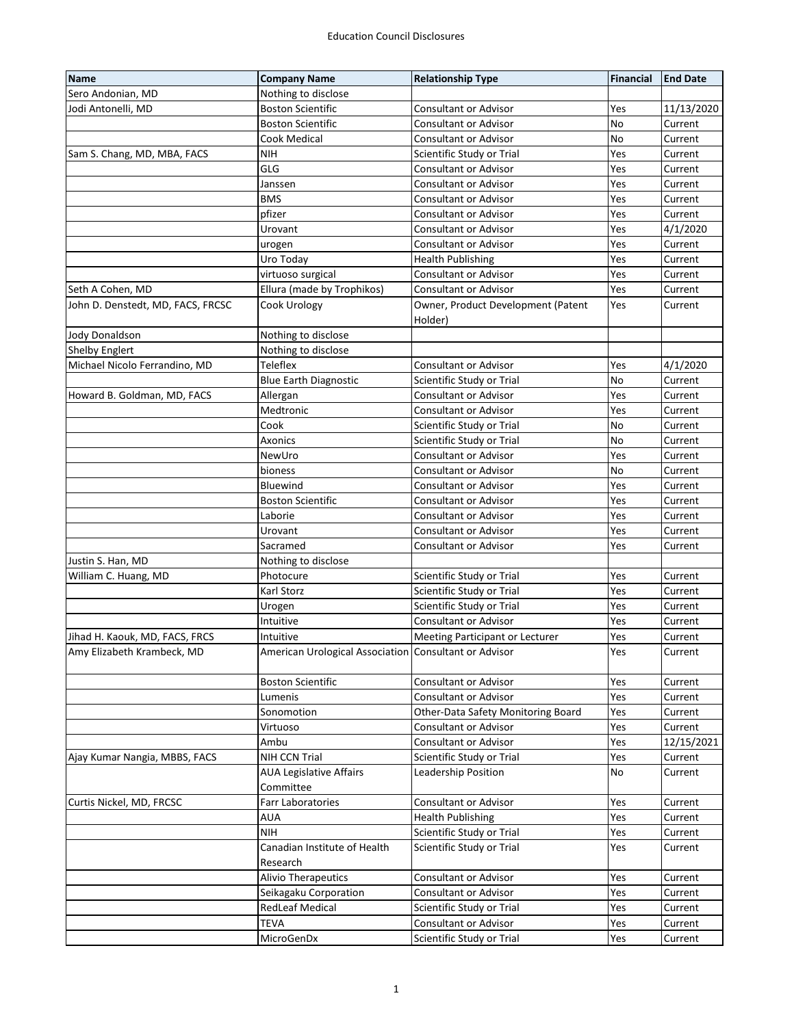| <b>Name</b>                       | <b>Company Name</b>                                   | <b>Relationship Type</b>           | Financial | <b>End Date</b> |
|-----------------------------------|-------------------------------------------------------|------------------------------------|-----------|-----------------|
| Sero Andonian, MD                 | Nothing to disclose                                   |                                    |           |                 |
| Jodi Antonelli, MD                | <b>Boston Scientific</b>                              | <b>Consultant or Advisor</b>       | Yes       | 11/13/2020      |
|                                   | <b>Boston Scientific</b>                              | <b>Consultant or Advisor</b>       | No        | Current         |
|                                   | Cook Medical                                          | <b>Consultant or Advisor</b>       | No        | Current         |
| Sam S. Chang, MD, MBA, FACS       | <b>NIH</b>                                            | Scientific Study or Trial          | Yes       | Current         |
|                                   | GLG                                                   | <b>Consultant or Advisor</b>       | Yes       | Current         |
|                                   | Janssen                                               | <b>Consultant or Advisor</b>       | Yes       | Current         |
|                                   | <b>BMS</b>                                            | <b>Consultant or Advisor</b>       | Yes       | Current         |
|                                   | pfizer                                                | <b>Consultant or Advisor</b>       | Yes       | Current         |
|                                   | Urovant                                               | <b>Consultant or Advisor</b>       | Yes       | 4/1/2020        |
|                                   | urogen                                                | <b>Consultant or Advisor</b>       | Yes       | Current         |
|                                   | Uro Today                                             | <b>Health Publishing</b>           | Yes       | Current         |
|                                   | virtuoso surgical                                     | <b>Consultant or Advisor</b>       | Yes       | Current         |
| Seth A Cohen, MD                  | Ellura (made by Trophikos)                            | <b>Consultant or Advisor</b>       | Yes       | Current         |
| John D. Denstedt, MD, FACS, FRCSC | Cook Urology                                          | Owner, Product Development (Patent | Yes       | Current         |
|                                   |                                                       | Holder)                            |           |                 |
| <b>Jody Donaldson</b>             | Nothing to disclose                                   |                                    |           |                 |
| Shelby Englert                    | Nothing to disclose                                   |                                    |           |                 |
| Michael Nicolo Ferrandino, MD     | <b>Teleflex</b>                                       | <b>Consultant or Advisor</b>       | Yes       | 4/1/2020        |
|                                   | <b>Blue Earth Diagnostic</b>                          | Scientific Study or Trial          | No        | Current         |
| Howard B. Goldman, MD, FACS       | Allergan                                              | <b>Consultant or Advisor</b>       | Yes       | Current         |
|                                   | Medtronic                                             | <b>Consultant or Advisor</b>       | Yes       | Current         |
|                                   | Cook                                                  | Scientific Study or Trial          | No        | Current         |
|                                   | Axonics                                               | Scientific Study or Trial          | No        | Current         |
|                                   | NewUro                                                | <b>Consultant or Advisor</b>       | Yes       | Current         |
|                                   | bioness                                               | <b>Consultant or Advisor</b>       | No        | Current         |
|                                   | Bluewind                                              | Consultant or Advisor              | Yes       | Current         |
|                                   | <b>Boston Scientific</b>                              | Consultant or Advisor              | Yes       | Current         |
|                                   | Laborie                                               | <b>Consultant or Advisor</b>       | Yes       | Current         |
|                                   | Urovant                                               | <b>Consultant or Advisor</b>       | Yes       | Current         |
|                                   | Sacramed                                              | <b>Consultant or Advisor</b>       | Yes       | Current         |
| Justin S. Han, MD                 | Nothing to disclose                                   |                                    |           |                 |
| William C. Huang, MD              | Photocure                                             | Scientific Study or Trial          | Yes       | Current         |
|                                   | Karl Storz                                            | Scientific Study or Trial          | Yes       | Current         |
|                                   | Urogen                                                | Scientific Study or Trial          | Yes       | Current         |
|                                   | Intuitive                                             | <b>Consultant or Advisor</b>       | Yes       | Current         |
| Jihad H. Kaouk, MD, FACS, FRCS    | Intuitive                                             | Meeting Participant or Lecturer    | Yes       | Current         |
| Amy Elizabeth Krambeck, MD        | American Urological Association Consultant or Advisor |                                    | Yes       | Current         |
|                                   |                                                       |                                    |           |                 |
|                                   | <b>Boston Scientific</b>                              | <b>Consultant or Advisor</b>       | Yes       | Current         |
|                                   | Lumenis                                               | <b>Consultant or Advisor</b>       | Yes       | Current         |
|                                   | Sonomotion                                            | Other-Data Safety Monitoring Board | Yes       | Current         |
|                                   | Virtuoso                                              | <b>Consultant or Advisor</b>       | Yes       | Current         |
|                                   | Ambu                                                  | <b>Consultant or Advisor</b>       | Yes       | 12/15/2021      |
| Ajay Kumar Nangia, MBBS, FACS     | NIH CCN Trial                                         | Scientific Study or Trial          | Yes       | Current         |
|                                   | <b>AUA Legislative Affairs</b>                        | Leadership Position                | No        | Current         |
|                                   | Committee                                             |                                    |           |                 |
| Curtis Nickel, MD, FRCSC          | <b>Farr Laboratories</b>                              | <b>Consultant or Advisor</b>       | Yes       | Current         |
|                                   | AUA                                                   | <b>Health Publishing</b>           | Yes       | Current         |
|                                   | <b>NIH</b>                                            | Scientific Study or Trial          | Yes       | Current         |
|                                   | Canadian Institute of Health                          | Scientific Study or Trial          | Yes       | Current         |
|                                   | Research                                              |                                    |           |                 |
|                                   | <b>Alivio Therapeutics</b>                            | <b>Consultant or Advisor</b>       | Yes       | Current         |
|                                   | Seikagaku Corporation                                 | <b>Consultant or Advisor</b>       | Yes       | Current         |
|                                   | <b>RedLeaf Medical</b>                                | Scientific Study or Trial          | Yes       | Current         |
|                                   | <b>TEVA</b>                                           | <b>Consultant or Advisor</b>       | Yes       | Current         |
|                                   | MicroGenDx                                            | Scientific Study or Trial          | Yes       | Current         |
|                                   |                                                       |                                    |           |                 |